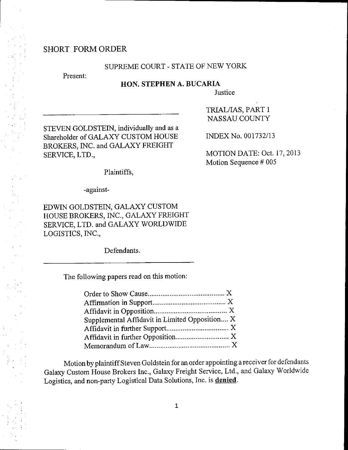# SHORT FORMORDER

## SUPREME COURT - STATE OF NEW YORK

Present:

#### HON. STEPHEN A. BUCARIA

**Justice** 

STEVEN GOLDSTEIN, individually and as a Shareholder of GALAXY CUSTOM HOUSE BROKERS, INC. and GALAXY FREIGHT SERVICE, LTD.,

TRIALIIAS, PART I NASSAUCOUNTY

INDEX No. 001732/13

MOTION DATE: Oct. l'7, 2013 Motion Sequence # 005

Plaintiffs,

-against-

EDWIN GOLDSTEIN, GALAXY CUSTOM HOUSE BROKERS, ]NC., GALAXY FREIGHT SERVICE, LTD. and GALAXY WORLDWIDE LOGISTICS, INC.,

Defendants.

The following papers read on this motion:

| Supplemental Affidavit in Limited Opposition X |  |
|------------------------------------------------|--|
|                                                |  |
|                                                |  |
|                                                |  |

Motion byplaintiffSteven Goldstein for an order appointing a receiver for defendants Galaxy custom House Brokers tnc., Galaxy Freight Service, Ltd., and Galaxy worldwide Logistics, and non-party Logistical Data Solutions, Inc. is denied.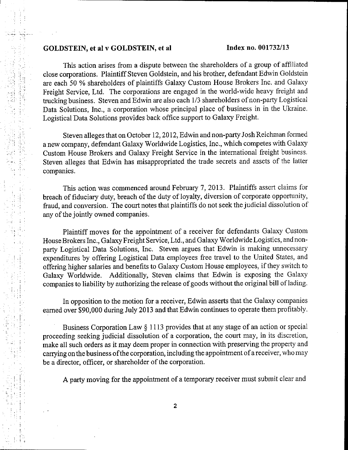### GOLDSTEIN, et al v GOLDSTEIN, et al Index no. 001732/13

This action arises from a dispute between the shareholders of a group of affiliated close corporations. Plaintiff Steven Goldstein, and his brother, defendant Edwin Goldstein are each 50 % shareholders of plaintiffs Galaxy Custom House Brokers Inc. and Galaxy Freight Service, Ltd. The corporations are engaged in the world-wide heary freight and trucking business. Steven and Edwin are also each 1/3 shareholders of non-party Logistical Data Solutions, Inc., a corporation whose principal place of business in in the Ukraine. Logistical Data Solutions provides back office support to Galaxy Freight.

Steven alleges that on October l2,20l2,Edwin and non-party Josh Reichman founed <sup>a</sup>new company, defendant Galaxy Worldwide Logistics, Inc., which competes with Galaxy Custom House Brokers and Galaxy Freight Service in the international freight business. Steven alleges that Edwin has misappropriated the trade secrets and assets of the latter companies.

This action was commenced around February 7, 2013. Plaintiffs assert claims for breach of fiduciary duty, breach of the duty of loyalty, diversion of corporate opportunity, fraud, and conversion. The court notes that plaintiffs do not seek the judicial dissolution of any of the jointly owned companies.

Plaintiff moves for the appointment of a receiver for defendants Galaxy Custom House Brokers Inc., Galaxy Freight Service, Ltd., and Galaxy Worldwide Logistics, and nonparty Logistical Data Solutions, Inc. Steven argues that Edwin is making unnecessary expenditures by offering Logistical Data employees free travel to the United States, and offering higher salaries and benefits to Galaxy Custom House employees, if they switch to Galaxy Worldwide. Additionally, Steven claims that Edwin is exposing the Galaxy companies to liability by authorizing the release of goods without the original bill of lading.

In opposition to the motion for a receiver, Edwin asserts that the Galaxy cornpanies earned over \$90,000 during July 2013 and that Edwin continues to operate them profitably.

Business Corporation Law § 1113 provides that at any stage of an action or special proceeding seeking judicial dissolution of a corporation, the court may, in its discretion, make all such orders as it may deem proper in connection with preserving the property and carrying onthe business ofthe corporation, including the appointment of a receiver, who may be a director, offlcer, or shareholder of the corporation.

A party moving for the appointment of a temporary receiver must submit clear and